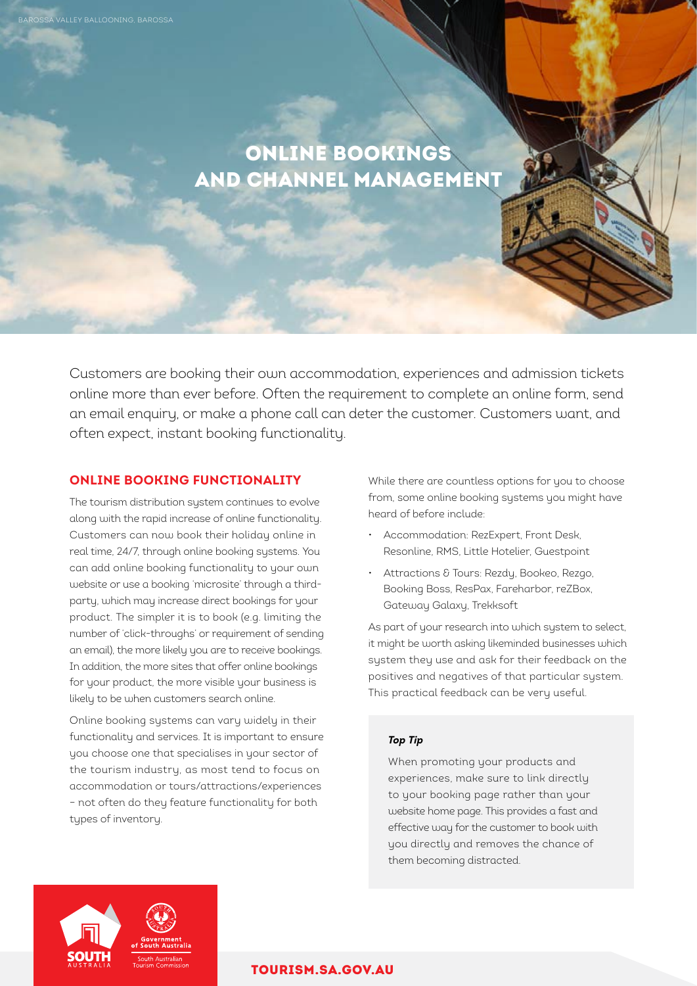# ONLINE BOOKINGS AND CHANNEL MANAGEMENT

Customers are booking their own accommodation, experiences and admission tickets online more than ever before. Often the requirement to complete an online form, send an email enquiry, or make a phone call can deter the customer. Customers want, and often expect, instant booking functionality.

# **ONLINE BOOKING FUNCTIONALITY**

BAROSSA VALLEY BALLOONING, BAROSSA

The tourism distribution system continues to evolve along with the rapid increase of online functionality. Customers can now book their holiday online in real time, 24/7, through online booking systems. You can add online booking functionality to your own website or use a booking 'microsite' through a thirdparty, which may increase direct bookings for your product. The simpler it is to book (e.g. limiting the number of 'click-throughs' or requirement of sending an email), the more likely you are to receive bookings. In addition, the more sites that offer online bookings for your product, the more visible your business is likely to be when customers search online.

Online booking systems can vary widely in their functionality and services. It is important to ensure you choose one that specialises in your sector of the tourism industry, as most tend to focus on accommodation or tours/attractions/experiences – not often do they feature functionality for both types of inventory.

While there are countless options for you to choose from, some online booking systems you might have heard of before include:

- Accommodation: RezExpert, Front Desk, Resonline, RMS, Little Hotelier, Guestpoint
- Attractions & Tours: Rezdy, Bookeo, Rezgo, Booking Boss, ResPax, Fareharbor, reZBox, Gateway Galaxy, Trekksoft

As part of your research into which system to select, it might be worth asking likeminded businesses which system they use and ask for their feedback on the positives and negatives of that particular system. This practical feedback can be very useful.

#### *Top Tip*

When promoting your products and experiences, make sure to link directly to your booking page rather than your website home page. This provides a fast and effective way for the customer to book with you directly and removes the chance of them becoming distracted.



## [TOURISM.SA.GOV.AU](http://tourism.sa.gov.au)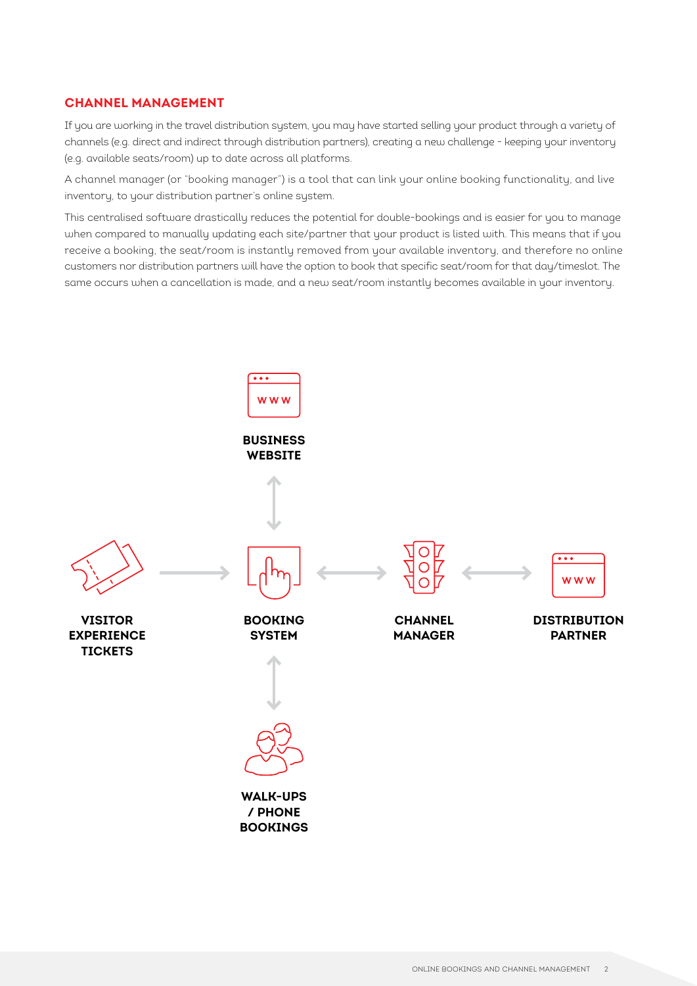### **CHANNEL MANAGEMENT**

If you are working in the travel distribution system, you may have started selling your product through a variety of channels (e.g. direct and indirect through distribution partners), creating a new challenge - keeping your inventory (e.g. available seats/room) up to date across all platforms.

A channel manager (or "booking manager") is a tool that can link your online booking functionality, and live inventory, to your distribution partner's online system.

This centralised software drastically reduces the potential for double-bookings and is easier for you to manage when compared to manually updating each site/partner that your product is listed with. This means that if you receive a booking, the seat/room is instantly removed from your available inventory, and therefore no online customers nor distribution partners will have the option to book that specific seat/room for that day/timeslot. The same occurs when a cancellation is made, and a new seat/room instantly becomes available in your inventory.